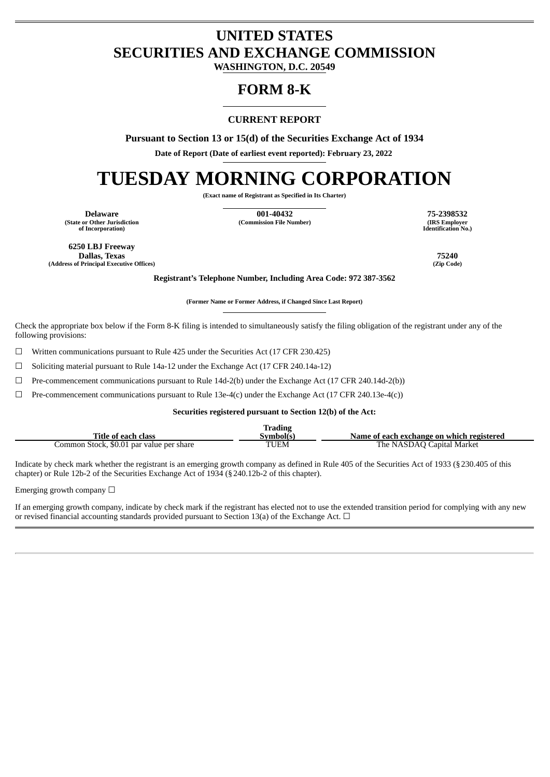## **UNITED STATES SECURITIES AND EXCHANGE COMMISSION**

**WASHINGTON, D.C. 20549**

## **FORM 8-K**

### **CURRENT REPORT**

**Pursuant to Section 13 or 15(d) of the Securities Exchange Act of 1934**

**Date of Report (Date of earliest event reported): February 23, 2022**

# **TUESDAY MORNING CORPORATION**

**(Exact name of Registrant as Specified in Its Charter)**

**(State or Other Jurisdiction of Incorporation)**

**Delaware 001-40432 75-2398532 (Commission File Number)** 

**Identification No.)**

**6250 LBJ Freeway Dallas, Texas 75240 (Address of Principal Executive Offices)** 

**Registrant's Telephone Number, Including Area Code: 972 387-3562**

**(Former Name or Former Address, if Changed Since Last Report)**

Check the appropriate box below if the Form 8-K filing is intended to simultaneously satisfy the filing obligation of the registrant under any of the following provisions:

 $\Box$  Written communications pursuant to Rule 425 under the Securities Act (17 CFR 230.425)

 $\Box$  Soliciting material pursuant to Rule 14a-12 under the Exchange Act (17 CFR 240.14a-12)

 $\Box$  Pre-commencement communications pursuant to Rule 14d-2(b) under the Exchange Act (17 CFR 240.14d-2(b))

 $\Box$  Pre-commencement communications pursuant to Rule 13e-4(c) under the Exchange Act (17 CFR 240.13e-4(c))

#### **Securities registered pursuant to Section 12(b) of the Act:**

|                                          | <b>Trading</b> |                                           |
|------------------------------------------|----------------|-------------------------------------------|
| Title of each class                      | Symbol(s)      | Name of each exchange on which registered |
| Common Stock, \$0.01 par value per share | <b>TUEM</b>    | The NASDAO Capital Market                 |

Indicate by check mark whether the registrant is an emerging growth company as defined in Rule 405 of the Securities Act of 1933 (§230.405 of this chapter) or Rule 12b-2 of the Securities Exchange Act of 1934 (§240.12b-2 of this chapter).

Emerging growth company  $\Box$ 

If an emerging growth company, indicate by check mark if the registrant has elected not to use the extended transition period for complying with any new or revised financial accounting standards provided pursuant to Section 13(a) of the Exchange Act.  $\Box$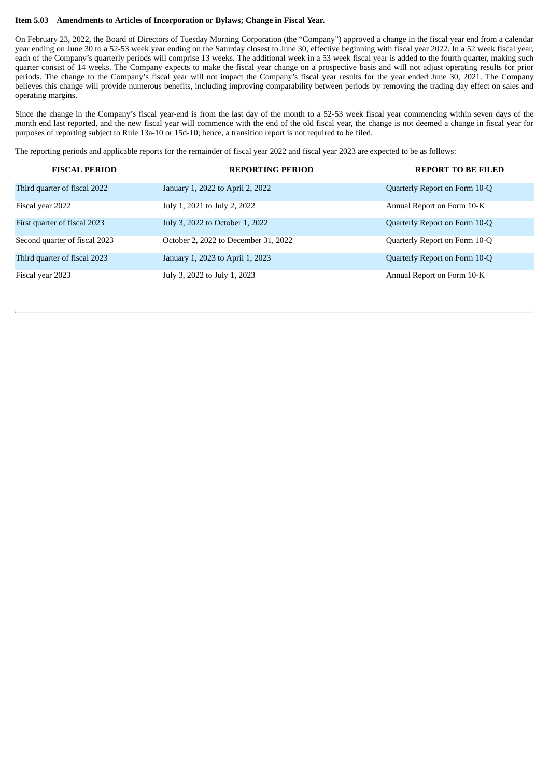#### **Item 5.03 Amendments to Articles of Incorporation or Bylaws; Change in Fiscal Year.**

On February 23, 2022, the Board of Directors of Tuesday Morning Corporation (the "Company") approved a change in the fiscal year end from a calendar year ending on June 30 to a 52-53 week year ending on the Saturday closest to June 30, effective beginning with fiscal year 2022. In a 52 week fiscal year, each of the Company's quarterly periods will comprise 13 weeks. The additional week in a 53 week fiscal year is added to the fourth quarter, making such quarter consist of 14 weeks. The Company expects to make the fiscal year change on a prospective basis and will not adjust operating results for prior periods. The change to the Company's fiscal year will not impact the Company's fiscal year results for the year ended June 30, 2021. The Company believes this change will provide numerous benefits, including improving comparability between periods by removing the trading day effect on sales and operating margins.

Since the change in the Company's fiscal year-end is from the last day of the month to a 52-53 week fiscal year commencing within seven days of the month end last reported, and the new fiscal year will commence with the end of the old fiscal year, the change is not deemed a change in fiscal year for purposes of reporting subject to Rule 13a-10 or 15d-10; hence, a transition report is not required to be filed.

The reporting periods and applicable reports for the remainder of fiscal year 2022 and fiscal year 2023 are expected to be as follows:

| <b>FISCAL PERIOD</b>          | <b>REPORTING PERIOD</b>              | <b>REPORT TO BE FILED</b>     |
|-------------------------------|--------------------------------------|-------------------------------|
| Third quarter of fiscal 2022  | January 1, 2022 to April 2, 2022     | Quarterly Report on Form 10-Q |
| Fiscal year 2022              | July 1, 2021 to July 2, 2022         | Annual Report on Form 10-K    |
| First quarter of fiscal 2023  | July 3, 2022 to October 1, 2022      | Quarterly Report on Form 10-Q |
| Second quarter of fiscal 2023 | October 2, 2022 to December 31, 2022 | Quarterly Report on Form 10-Q |
| Third quarter of fiscal 2023  | January 1, 2023 to April 1, 2023     | Quarterly Report on Form 10-Q |
| Fiscal year 2023              | July 3, 2022 to July 1, 2023         | Annual Report on Form 10-K    |